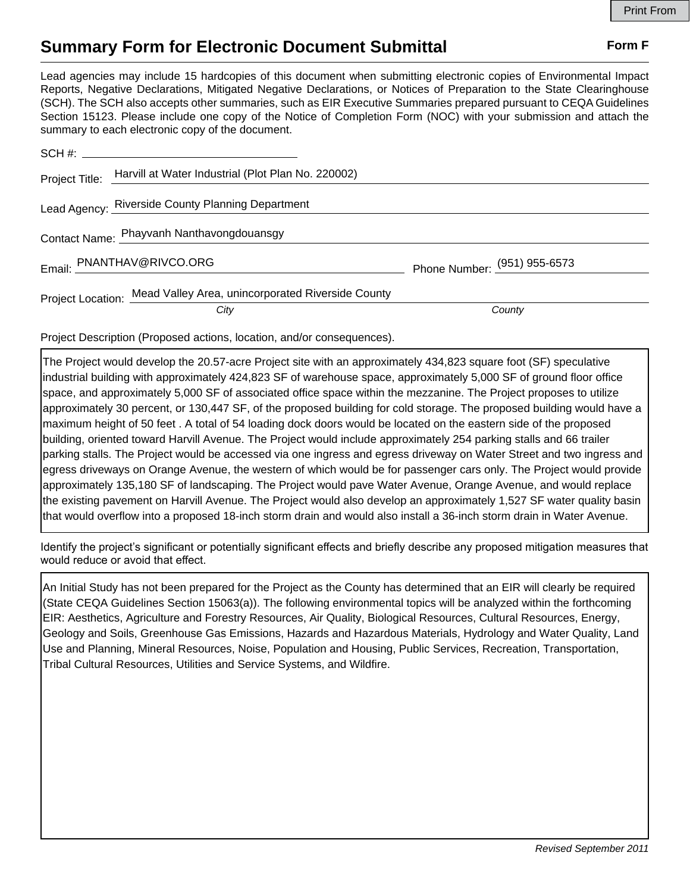## **Summary Form for Electronic Document Submittal Form F Form F**

Lead agencies may include 15 hardcopies of this document when submitting electronic copies of Environmental Impact Reports, Negative Declarations, Mitigated Negative Declarations, or Notices of Preparation to the State Clearinghouse (SCH). The SCH also accepts other summaries, such as EIR Executive Summaries prepared pursuant to CEQA Guidelines Section 15123. Please include one copy of the Notice of Completion Form (NOC) with your submission and attach the summary to each electronic copy of the document.

| Project Title: Harvill at Water Industrial (Plot Plan No. 220002)   |                              |
|---------------------------------------------------------------------|------------------------------|
| Lead Agency: Riverside County Planning Department                   |                              |
| Contact Name: Phayvanh Nanthavongdouansgy                           |                              |
| Email: PNANTHAV@RIVCO.ORG                                           | Phone Number: (951) 955-6573 |
| Project Location: Mead Valley Area, unincorporated Riverside County |                              |
| City                                                                | County                       |

Project Description (Proposed actions, location, and/or consequences).

The Project would develop the 20.57-acre Project site with an approximately 434,823 square foot (SF) speculative industrial building with approximately 424,823 SF of warehouse space, approximately 5,000 SF of ground floor office space, and approximately 5,000 SF of associated office space within the mezzanine. The Project proposes to utilize approximately 30 percent, or 130,447 SF, of the proposed building for cold storage. The proposed building would have a maximum height of 50 feet . A total of 54 loading dock doors would be located on the eastern side of the proposed building, oriented toward Harvill Avenue. The Project would include approximately 254 parking stalls and 66 trailer parking stalls. The Project would be accessed via one ingress and egress driveway on Water Street and two ingress and egress driveways on Orange Avenue, the western of which would be for passenger cars only. The Project would provide approximately 135,180 SF of landscaping. The Project would pave Water Avenue, Orange Avenue, and would replace the existing pavement on Harvill Avenue. The Project would also develop an approximately 1,527 SF water quality basin that would overflow into a proposed 18-inch storm drain and would also install a 36-inch storm drain in Water Avenue.

Identify the project's significant or potentially significant effects and briefly describe any proposed mitigation measures that would reduce or avoid that effect.

An Initial Study has not been prepared for the Project as the County has determined that an EIR will clearly be required (State CEQA Guidelines Section 15063(a)). The following environmental topics will be analyzed within the forthcoming EIR: Aesthetics, Agriculture and Forestry Resources, Air Quality, Biological Resources, Cultural Resources, Energy, Geology and Soils, Greenhouse Gas Emissions, Hazards and Hazardous Materials, Hydrology and Water Quality, Land Use and Planning, Mineral Resources, Noise, Population and Housing, Public Services, Recreation, Transportation, Tribal Cultural Resources, Utilities and Service Systems, and Wildfire.